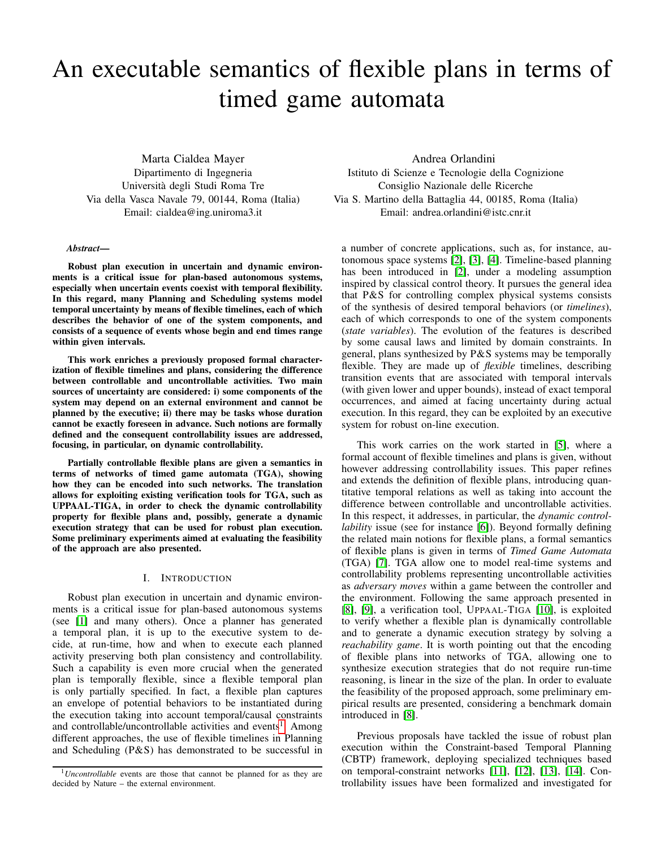# An executable semantics of flexible plans in terms of timed game automata

Marta Cialdea Mayer Dipartimento di Ingegneria Università degli Studi Roma Tre Via della Vasca Navale 79, 00144, Roma (Italia) Email: cialdea@ing.uniroma3.it

#### *Abstract*—

Robust plan execution in uncertain and dynamic environments is a critical issue for plan-based autonomous systems, especially when uncertain events coexist with temporal flexibility. In this regard, many Planning and Scheduling systems model temporal uncertainty by means of flexible timelines, each of which describes the behavior of one of the system components, and consists of a sequence of events whose begin and end times range within given intervals.

This work enriches a previously proposed formal characterization of flexible timelines and plans, considering the difference between controllable and uncontrollable activities. Two main sources of uncertainty are considered: i) some components of the system may depend on an external environment and cannot be planned by the executive; ii) there may be tasks whose duration cannot be exactly foreseen in advance. Such notions are formally defined and the consequent controllability issues are addressed, focusing, in particular, on dynamic controllability.

Partially controllable flexible plans are given a semantics in terms of networks of timed game automata (TGA), showing how they can be encoded into such networks. The translation allows for exploiting existing verification tools for TGA, such as UPPAAL-TIGA, in order to check the dynamic controllability property for flexible plans and, possibly, generate a dynamic execution strategy that can be used for robust plan execution. Some preliminary experiments aimed at evaluating the feasibility of the approach are also presented.

## I. INTRODUCTION

Robust plan execution in uncertain and dynamic environments is a critical issue for plan-based autonomous systems (see [\[1\]](#page-9-0) and many others). Once a planner has generated a temporal plan, it is up to the executive system to decide, at run-time, how and when to execute each planned activity preserving both plan consistency and controllability. Such a capability is even more crucial when the generated plan is temporally flexible, since a flexible temporal plan is only partially specified. In fact, a flexible plan captures an envelope of potential behaviors to be instantiated during the execution taking into account temporal/causal constraints and controllable/uncontrollable activities and events<sup>[1](#page-0-0)</sup>. Among different approaches, the use of flexible timelines in Planning and Scheduling (P&S) has demonstrated to be successful in

Andrea Orlandini Istituto di Scienze e Tecnologie della Cognizione Consiglio Nazionale delle Ricerche Via S. Martino della Battaglia 44, 00185, Roma (Italia) Email: andrea.orlandini@istc.cnr.it

a number of concrete applications, such as, for instance, autonomous space systems [\[2\]](#page-9-1), [\[3\]](#page-9-2), [\[4\]](#page-9-3). Timeline-based planning has been introduced in [\[2\]](#page-9-1), under a modeling assumption inspired by classical control theory. It pursues the general idea that P&S for controlling complex physical systems consists of the synthesis of desired temporal behaviors (or *timelines*), each of which corresponds to one of the system components (*state variables*). The evolution of the features is described by some causal laws and limited by domain constraints. In general, plans synthesized by P&S systems may be temporally flexible. They are made up of *flexible* timelines, describing transition events that are associated with temporal intervals (with given lower and upper bounds), instead of exact temporal occurrences, and aimed at facing uncertainty during actual execution. In this regard, they can be exploited by an executive system for robust on-line execution.

This work carries on the work started in [\[5\]](#page-9-4), where a formal account of flexible timelines and plans is given, without however addressing controllability issues. This paper refines and extends the definition of flexible plans, introducing quantitative temporal relations as well as taking into account the difference between controllable and uncontrollable activities. In this respect, it addresses, in particular, the *dynamic controllability* issue (see for instance [\[6\]](#page-9-5)). Beyond formally defining the related main notions for flexible plans, a formal semantics of flexible plans is given in terms of *Timed Game Automata* (TGA) [\[7\]](#page-9-6). TGA allow one to model real-time systems and controllability problems representing uncontrollable activities as *adversary moves* within a game between the controller and the environment. Following the same approach presented in [\[8\]](#page-9-7), [\[9\]](#page-9-8), a verification tool, UPPAAL-TIGA [\[10\]](#page-9-9), is exploited to verify whether a flexible plan is dynamically controllable and to generate a dynamic execution strategy by solving a *reachability game*. It is worth pointing out that the encoding of flexible plans into networks of TGA, allowing one to synthesize execution strategies that do not require run-time reasoning, is linear in the size of the plan. In order to evaluate the feasibility of the proposed approach, some preliminary empirical results are presented, considering a benchmark domain introduced in [\[8\]](#page-9-7).

Previous proposals have tackled the issue of robust plan execution within the Constraint-based Temporal Planning (CBTP) framework, deploying specialized techniques based on temporal-constraint networks [\[11\]](#page-9-10), [\[12\]](#page-9-11), [\[13\]](#page-9-12), [\[14\]](#page-9-13). Controllability issues have been formalized and investigated for

<span id="page-0-0"></span><sup>1</sup>*Uncontrollable* events are those that cannot be planned for as they are decided by Nature – the external environment.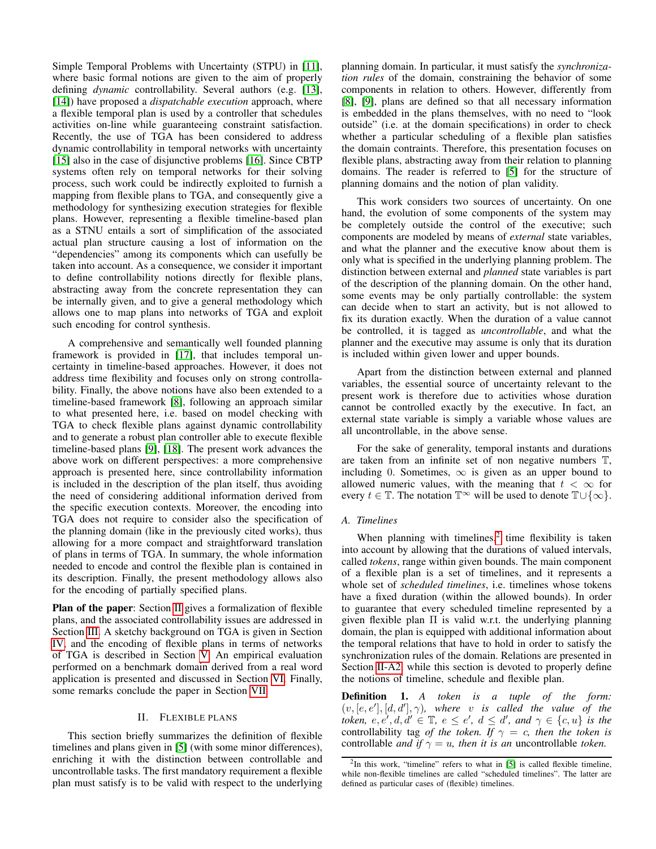Simple Temporal Problems with Uncertainty (STPU) in [\[11\]](#page-9-10), where basic formal notions are given to the aim of properly defining *dynamic* controllability. Several authors (e.g. [\[13\]](#page-9-12), [\[14\]](#page-9-13)) have proposed a *dispatchable execution* approach, where a flexible temporal plan is used by a controller that schedules activities on-line while guaranteeing constraint satisfaction. Recently, the use of TGA has been considered to address dynamic controllability in temporal networks with uncertainty [\[15\]](#page-9-14) also in the case of disjunctive problems [\[16\]](#page-9-15). Since CBTP systems often rely on temporal networks for their solving process, such work could be indirectly exploited to furnish a mapping from flexible plans to TGA, and consequently give a methodology for synthesizing execution strategies for flexible plans. However, representing a flexible timeline-based plan as a STNU entails a sort of simplification of the associated actual plan structure causing a lost of information on the "dependencies" among its components which can usefully be taken into account. As a consequence, we consider it important to define controllability notions directly for flexible plans, abstracting away from the concrete representation they can be internally given, and to give a general methodology which allows one to map plans into networks of TGA and exploit such encoding for control synthesis.

A comprehensive and semantically well founded planning framework is provided in [\[17\]](#page-9-16), that includes temporal uncertainty in timeline-based approaches. However, it does not address time flexibility and focuses only on strong controllability. Finally, the above notions have also been extended to a timeline-based framework [\[8\]](#page-9-7), following an approach similar to what presented here, i.e. based on model checking with TGA to check flexible plans against dynamic controllability and to generate a robust plan controller able to execute flexible timeline-based plans [\[9\]](#page-9-8), [\[18\]](#page-9-17). The present work advances the above work on different perspectives: a more comprehensive approach is presented here, since controllability information is included in the description of the plan itself, thus avoiding the need of considering additional information derived from the specific execution contexts. Moreover, the encoding into TGA does not require to consider also the specification of the planning domain (like in the previously cited works), thus allowing for a more compact and straightforward translation of plans in terms of TGA. In summary, the whole information needed to encode and control the flexible plan is contained in its description. Finally, the present methodology allows also for the encoding of partially specified plans.

Plan of the paper: Section [II](#page-1-0) gives a formalization of flexible plans, and the associated controllability issues are addressed in Section [III.](#page-3-0) A sketchy background on TGA is given in Section [IV,](#page-4-0) and the encoding of flexible plans in terms of networks of TGA is described in Section [V.](#page-5-0) An empirical evaluation performed on a benchmark domain derived from a real word application is presented and discussed in Section [VI.](#page-6-0) Finally, some remarks conclude the paper in Section [VII.](#page-8-0)

## II. FLEXIBLE PLANS

<span id="page-1-0"></span>This section briefly summarizes the definition of flexible timelines and plans given in [\[5\]](#page-9-4) (with some minor differences), enriching it with the distinction between controllable and uncontrollable tasks. The first mandatory requirement a flexible plan must satisfy is to be valid with respect to the underlying planning domain. In particular, it must satisfy the *synchronization rules* of the domain, constraining the behavior of some components in relation to others. However, differently from [\[8\]](#page-9-7), [\[9\]](#page-9-8), plans are defined so that all necessary information is embedded in the plans themselves, with no need to "look outside" (i.e. at the domain specifications) in order to check whether a particular scheduling of a flexible plan satisfies the domain contraints. Therefore, this presentation focuses on flexible plans, abstracting away from their relation to planning domains. The reader is referred to [\[5\]](#page-9-4) for the structure of planning domains and the notion of plan validity.

This work considers two sources of uncertainty. On one hand, the evolution of some components of the system may be completely outside the control of the executive; such components are modeled by means of *external* state variables, and what the planner and the executive know about them is only what is specified in the underlying planning problem. The distinction between external and *planned* state variables is part of the description of the planning domain. On the other hand, some events may be only partially controllable: the system can decide when to start an activity, but is not allowed to fix its duration exactly. When the duration of a value cannot be controlled, it is tagged as *uncontrollable*, and what the planner and the executive may assume is only that its duration is included within given lower and upper bounds.

Apart from the distinction between external and planned variables, the essential source of uncertainty relevant to the present work is therefore due to activities whose duration cannot be controlled exactly by the executive. In fact, an external state variable is simply a variable whose values are all uncontrollable, in the above sense.

For the sake of generality, temporal instants and durations are taken from an infinite set of non negative numbers T, including 0. Sometimes,  $\infty$  is given as an upper bound to allowed numeric values, with the meaning that  $t < \infty$  for every  $t \in \mathbb{T}$ . The notation  $\mathbb{T}^{\infty}$  will be used to denote  $\mathbb{T} \cup \{\infty\}$ .

## *A. Timelines*

When planning with timelines, $2$  time flexibility is taken into account by allowing that the durations of valued intervals, called *tokens*, range within given bounds. The main component of a flexible plan is a set of timelines, and it represents a whole set of *scheduled timelines*, i.e. timelines whose tokens have a fixed duration (within the allowed bounds). In order to guarantee that every scheduled timeline represented by a given flexible plan  $\Pi$  is valid w.r.t. the underlying planning domain, the plan is equipped with additional information about the temporal relations that have to hold in order to satisfy the synchronization rules of the domain. Relations are presented in Section [II-A2,](#page-2-0) while this section is devoted to properly define the notions of timeline, schedule and flexible plan.

Definition 1. *A token is a tuple of the form:*  $(v, [e, e'], [d, d'], \gamma)$ , where v is called the value of the *token,*  $e, e', d, d' \in \mathbb{T}$ ,  $e \le e', d \le d'$ , and  $\gamma \in \{c, u\}$  *is the* controllability tag *of the token. If*  $\gamma = c$ *, then the token is* controllable *and if*  $\gamma = u$ *, then it is an uncontrollable token.* 

<span id="page-1-1"></span><sup>&</sup>lt;sup>2</sup>In this work, "timeline" refers to what in [\[5\]](#page-9-4) is called flexible timeline, while non-flexible timelines are called "scheduled timelines". The latter are defined as particular cases of (flexible) timelines.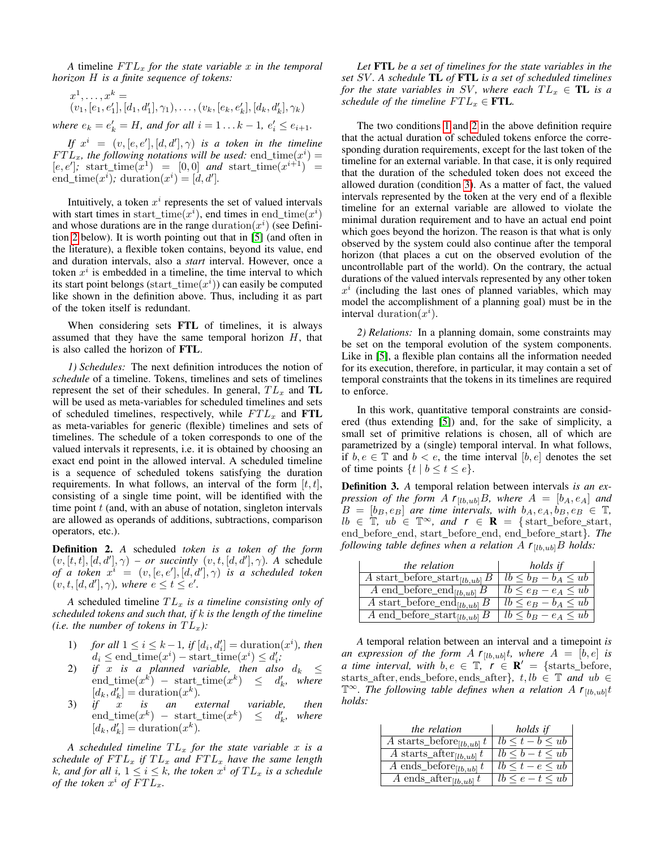*A* timeline  $FTL<sub>x</sub>$  *for the state variable*  $x$  *in the temporal horizon* H *is a finite sequence of tokens:*

 $x^1, \ldots, x^k =$  $(v_1, [e_1, e'_1], [d_1, d'_1], \gamma_1), \ldots, (v_k, [e_k, e'_k], [d_k, d'_k], \gamma_k)$ 

*where*  $e_k = e'_k = H$ *, and for all*  $i = 1...k - 1$ *,*  $e'_i \le e_{i+1}$ *.* 

*If*  $x^i = (v, [e, e'], [d, d'], \gamma)$  *is a token in the timeline*  $FTL_x$ , the following notations will be used: end\_time( $x^i$ ) =  $[e, e']$ ; start\_time( $x^1$ ) = [0,0] *and* start\_time( $x^{i+1}$ ) = end\_time $(x^i)$ ; duration $(x^i) = [d, d']$ .

Intuitively, a token  $x^i$  represents the set of valued intervals with start times in start\_time( $x^i$ ), end times in end\_time( $x^i$ ) and whose durations are in the range duration $(x^{i})$  (see Definition [2](#page-2-1) below). It is worth pointing out that in [\[5\]](#page-9-4) (and often in the literature), a flexible token contains, beyond its value, end and duration intervals, also a *start* interval. However, once a token  $x^i$  is embedded in a timeline, the time interval to which its start point belongs (start\_time( $x^i$ )) can easily be computed like shown in the definition above. Thus, including it as part of the token itself is redundant.

When considering sets FTL of timelines, it is always assumed that they have the same temporal horizon  $H$ , that is also called the horizon of FTL.

*1) Schedules:* The next definition introduces the notion of *schedule* of a timeline. Tokens, timelines and sets of timelines represent the set of their schedules. In general,  $TL_x$  and TL will be used as meta-variables for scheduled timelines and sets of scheduled timelines, respectively, while  $FTL<sub>x</sub>$  and  $FTL$ as meta-variables for generic (flexible) timelines and sets of timelines. The schedule of a token corresponds to one of the valued intervals it represents, i.e. it is obtained by choosing an exact end point in the allowed interval. A scheduled timeline is a sequence of scheduled tokens satisfying the duration requirements. In what follows, an interval of the form  $[t, t]$ , consisting of a single time point, will be identified with the time point  $t$  (and, with an abuse of notation, singleton intervals are allowed as operands of additions, subtractions, comparison operators, etc.).

<span id="page-2-1"></span>Definition 2. *A* scheduled *token is a token of the form*  $(v, [t, t], [d, d'], \gamma)$  – or succintly  $(v, t, [d, d'], \gamma)$ . A schedule *of a token*  $x^i = (v, [e, e'], [d, d'], \gamma)$  *is a scheduled token*  $(v, t, [d, d'], \gamma)$ *, where*  $e \le t \le e'$ *.* 

*A* scheduled timeline  $TL_x$  *is a timeline consisting only of scheduled tokens and such that, if* k *is the length of the timeline (i.e. the number of tokens in*  $TL<sub>x</sub>$ *):* 

- <span id="page-2-2"></span>1) *for all*  $1 \leq i \leq k-1$ , if  $[d_i, d'_i] = \text{duration}(x^i)$ , then  $d_i \leq \text{end\_time}(x^i) - \text{start\_time}(x^i) \leq d'_i;$
- <span id="page-2-3"></span>2) *if* x is a planned variable, then also  $d_k \leq$  $\text{end\_time}(x^k) - \text{start\_time}(x^k) \leq d'_k$ , where  $[d_k, d'_k] = \text{duration}(x^k).$
- <span id="page-2-4"></span>3) *if* x *is an external variable, then*  $\text{end\_time}(x^k) - \text{start\_time}(x^k) \le d'_k, \text{ where }$  $[d_k, d'_k] = \text{duration}(x^k).$

*A* scheduled timeline  $TL_x$  for the state variable x is a *schedule of*  $FTL_x$  *if*  $TL_x$  *and*  $FTL_x$  *have the same length* k, and for all  $i, 1 \leq i \leq k$ , the token  $x^i$  of  $TL_x$  is a schedule *of the token*  $x^i$  *of*  $FTL_x$ .

*Let* FTL *be a set of timelines for the state variables in the set* SV *. A schedule* TL *of* FTL *is a set of scheduled timelines for the state variables in SV, where each*  $TL_x \in TL$  *is a schedule of the timeline*  $FTL<sub>x</sub> \in FTL$ .

The two conditions [1](#page-2-2) and [2](#page-2-3) in the above definition require that the actual duration of scheduled tokens enforce the corresponding duration requirements, except for the last token of the timeline for an external variable. In that case, it is only required that the duration of the scheduled token does not exceed the allowed duration (condition [3\)](#page-2-4). As a matter of fact, the valued intervals represented by the token at the very end of a flexible timeline for an external variable are allowed to violate the minimal duration requirement and to have an actual end point which goes beyond the horizon. The reason is that what is only observed by the system could also continue after the temporal horizon (that places a cut on the observed evolution of the uncontrollable part of the world). On the contrary, the actual durations of the valued intervals represented by any other token  $x<sup>i</sup>$  (including the last ones of planned variables, which may model the accomplishment of a planning goal) must be in the interval duration $(x<sup>i</sup>)$ .

<span id="page-2-0"></span>*2) Relations:* In a planning domain, some constraints may be set on the temporal evolution of the system components. Like in [\[5\]](#page-9-4), a flexible plan contains all the information needed for its execution, therefore, in particular, it may contain a set of temporal constraints that the tokens in its timelines are required to enforce.

In this work, quantitative temporal constraints are considered (thus extending [\[5\]](#page-9-4)) and, for the sake of simplicity, a small set of primitive relations is chosen, all of which are parametrized by a (single) temporal interval. In what follows, if  $b, e \in \mathbb{T}$  and  $b < e$ , the time interval  $[b, e]$  denotes the set of time points  $\{t \mid b \le t \le e\}.$ 

Definition 3. *A* temporal relation between intervals *is an expression of the form* A  $r_{[lb,ub]}B$ *, where*  $A = [b_A, e_A]$  *and*  $B = [b_B, e_B]$  *are time intervals, with*  $b_A, e_A, b_B, e_B \in \mathbb{T}$ ,  $lb \in \mathbb{T}$ ,  $ub \in \mathbb{T}^{\infty}$ , and  $r \in \mathbb{R} = \{ \text{start\_before\_start}, \}$ end*\_*before*\_*end, start*\_*before*\_*end, end*\_*before*\_*start}*. The following table defines when a relation*  $A \, r_{[lb,ub]} B$  *holds:* 

| <i>the relation</i>                                            | holds if                    |
|----------------------------------------------------------------|-----------------------------|
| $\overline{A \text{ start\_before\_start}}_{[lb,ub]} B$        | $lb \leq b_B - b_A \leq ub$ |
| $\overline{A}$ end_before_end <sub>[lb,ub]</sub> $B$           | $lb \leq e_B - e_A \leq ub$ |
| $\overline{A \text{ start\_before\_end}}$ [ <i>lb,ub</i> ] $B$ | $lb \leq e_B - b_A \leq ub$ |
| $\overline{A}$ end_before_start <sub>[lb,ub]</sub> $B$         | $lb \leq b_B - e_A \leq ub$ |

*A* temporal relation between an interval and a timepoint *is an expression of the form A*  $r_{[lb,ub]}t$ *, where*  $A = [b, e]$  *is a* time interval, with  $b, e \in \mathbb{T}$ ,  $r \in \mathbb{R}' = \{\text{starts\_before},\}$ starts\_after, ends\_before, ends\_after},  $t, lb \in \mathbb{T}$  and  $ub \in$  $T^{\infty}$ . The following table defines when a relation A  $r_{[lb,ub]}t$ *holds:*

| the relation                                              | holds if                |
|-----------------------------------------------------------|-------------------------|
| $\overline{A \text{ starts}}$ before <sub>[lb,ub]</sub> t | $lb < t - b < ub$       |
| $\overline{A}$ starts_after <sub>[lb,ub]</sub> t          | $lb \leq b-t \leq ub$   |
| $\overline{A}$ ends_before <sub>[lb,ub]</sub> t           | $lb \leq t - e \leq ub$ |
| $\overline{A}$ ends_after <sub>[lb,ub]</sub> t            | $lb \leq e-t \leq ub$   |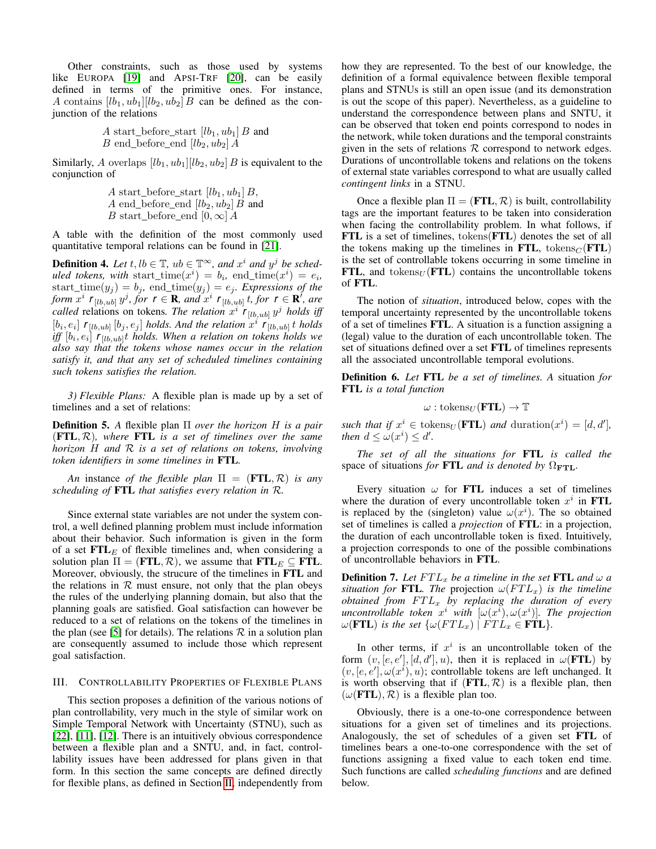Other constraints, such as those used by systems like EUROPA [\[19\]](#page-9-18) and APSI-TRF [\[20\]](#page-9-19), can be easily defined in terms of the primitive ones. For instance, A contains  $[lb_1, ub_1][lb_2, ub_2]$  B can be defined as the conjunction of the relations

> A start\_before\_start  $[lb_1, ub_1]$  B and B end\_before\_end  $[lb_2, ub_2]$  A

Similarly, A overlaps  $[lb_1, ub_1][lb_2, ub_2]$  B is equivalent to the conjunction of

```
A start_before_start [lb_1, ub_1] B,
A end_before_end [lb_2, ub_2] B and
B start_before_end [0, \infty] A
```
A table with the definition of the most commonly used quantitative temporal relations can be found in [\[21\]](#page-9-20).

**Definition 4.** Let  $t, lb \in \mathbb{T}$ ,  $ub \in \mathbb{T}^{\infty}$ , and  $x^{i}$  and  $y^{j}$  be sched- $\mu$ led tokens, with start\_time( $x^i$ ) =  $b_i$ , end\_time( $x^i$ ) =  $e_i$ ,  $start\_time(y_j) = b_j$ ,  $end\_time(y_j) = e_j$ . Expressions of the *form*  $x^i$   $r_{[lb,ub]}y^j$ , for  $r \in \mathbf{R}$ , and  $x^i$   $r_{[lb,ub]}t$ , for  $r \in \mathbf{R}'$ , are *called* relations on tokens. The relation  $x^i$   $r_{[lb,ub]} y^j$  holds iff  $[b_i, e_i]$   $r_{[lb, ub]}$   $[b_j, e_j]$  *holds. And the relation*  $x^i$   $r_{[lb, ub]}$  *t holds iff*  $[b_i, e_i]$  *r*<sub>[lb,ub]</sub>t holds. When a relation on tokens holds we *also say that the tokens whose names occur in the relation satisfy it, and that any set of scheduled timelines containing such tokens satisfies the relation.*

*3) Flexible Plans:* A flexible plan is made up by a set of timelines and a set of relations:

Definition 5. *A* flexible plan Π *over the horizon* H *is a pair* (FTL, R)*, where* FTL *is a set of timelines over the same horizon* H *and* R *is a set of relations on tokens, involving token identifiers in some timelines in* FTL*.*

*An* instance *of the flexible plan*  $\Pi = (\textbf{FTL}, \mathcal{R})$  *is any scheduling of* FTL *that satisfies every relation in* R*.*

Since external state variables are not under the system control, a well defined planning problem must include information about their behavior. Such information is given in the form of a set  $\text{FTL}_E$  of flexible timelines and, when considering a solution plan  $\Pi = (\text{FTL}, \mathcal{R})$ , we assume that  $\text{FTL}_E \subseteq \text{FTL}$ . Moreover, obviously, the strucure of the timelines in FTL and the relations in  $R$  must ensure, not only that the plan obeys the rules of the underlying planning domain, but also that the planning goals are satisfied. Goal satisfaction can however be reduced to a set of relations on the tokens of the timelines in the plan (see [\[5\]](#page-9-4) for details). The relations  $R$  in a solution plan are consequently assumed to include those which represent goal satisfaction.

## <span id="page-3-0"></span>III. CONTROLLABILITY PROPERTIES OF FLEXIBLE PLANS

This section proposes a definition of the various notions of plan controllability, very much in the style of similar work on Simple Temporal Network with Uncertainty (STNU), such as [\[22\]](#page-9-21), [\[11\]](#page-9-10), [\[12\]](#page-9-11). There is an intuitively obvious correspondence between a flexible plan and a SNTU, and, in fact, controllability issues have been addressed for plans given in that form. In this section the same concepts are defined directly for flexible plans, as defined in Section [II,](#page-1-0) independently from how they are represented. To the best of our knowledge, the definition of a formal equivalence between flexible temporal plans and STNUs is still an open issue (and its demonstration is out the scope of this paper). Nevertheless, as a guideline to understand the correspondence between plans and SNTU, it can be observed that token end points correspond to nodes in the network, while token durations and the temporal constraints given in the sets of relations  $R$  correspond to network edges. Durations of uncontrollable tokens and relations on the tokens of external state variables correspond to what are usually called *contingent links* in a STNU.

Once a flexible plan  $\Pi = (\text{FTL}, \mathcal{R})$  is built, controllability tags are the important features to be taken into consideration when facing the controllability problem. In what follows, if FTL is a set of timelines, tokens(FTL) denotes the set of all the tokens making up the timelines in FTL, tokens $C$  (FTL) is the set of controllable tokens occurring in some timeline in FTL, and tokens $U$  (FTL) contains the uncontrollable tokens of FTL.

The notion of *situation*, introduced below, copes with the temporal uncertainty represented by the uncontrollable tokens of a set of timelines FTL. A situation is a function assigning a (legal) value to the duration of each uncontrollable token. The set of situations defined over a set FTL of timelines represents all the associated uncontrollable temporal evolutions.

Definition 6. *Let* FTL *be a set of timelines. A* situation *for* FTL *is a total function*

$$
\omega:\operatorname{tokens}_U(\operatorname{FTL})\to\mathbb{T}
$$

*such that if*  $x^i \in \text{tokens}_U(\textbf{FTL})$  *and* duration $(x^i) = [d, d']$ , *then*  $d \leq \omega(x^i) \leq d'$ .

*The set of all the situations for* FTL *is called the* space of situations *for* FTL *and is denoted by*  $\Omega_{\text{FTL}}$ .

Every situation  $\omega$  for FTL induces a set of timelines where the duration of every uncontrollable token  $x^i$  in FTL is replaced by the (singleton) value  $\omega(x^{i})$ . The so obtained set of timelines is called a *projection* of FTL: in a projection, the duration of each uncontrollable token is fixed. Intuitively, a projection corresponds to one of the possible combinations of uncontrollable behaviors in FTL.

**Definition 7.** Let  $FTL_x$  be a timeline in the set FTL and  $\omega$  a *situation for* FTL. The projection  $\omega(FTL_x)$  *is the timeline obtained from FTL<sub>x</sub> by replacing the duration of every*  $uncontrollable$  token  $x^i$  with  $[\omega(x^i), \omega(x^i)]$ . The projection  $\omega(\text{FTL})$  *is the set*  $\{\omega(FTL_x) \mid FTL_x \in \text{FTL}\}.$ 

In other terms, if  $x^i$  is an uncontrollable token of the form  $(v, [e, e'], [d, d'], u)$ , then it is replaced in  $\omega(\text{FTL})$  by  $(v, [e, e'], \omega(x^i), u)$ ; controllable tokens are left unchanged. It is worth observing that if  $(FTL, \mathcal{R})$  is a flexible plan, then  $(\omega(\text{FTL}), \mathcal{R})$  is a flexible plan too.

Obviously, there is a one-to-one correspondence between situations for a given set of timelines and its projections. Analogously, the set of schedules of a given set FTL of timelines bears a one-to-one correspondence with the set of functions assigning a fixed value to each token end time. Such functions are called *scheduling functions* and are defined below.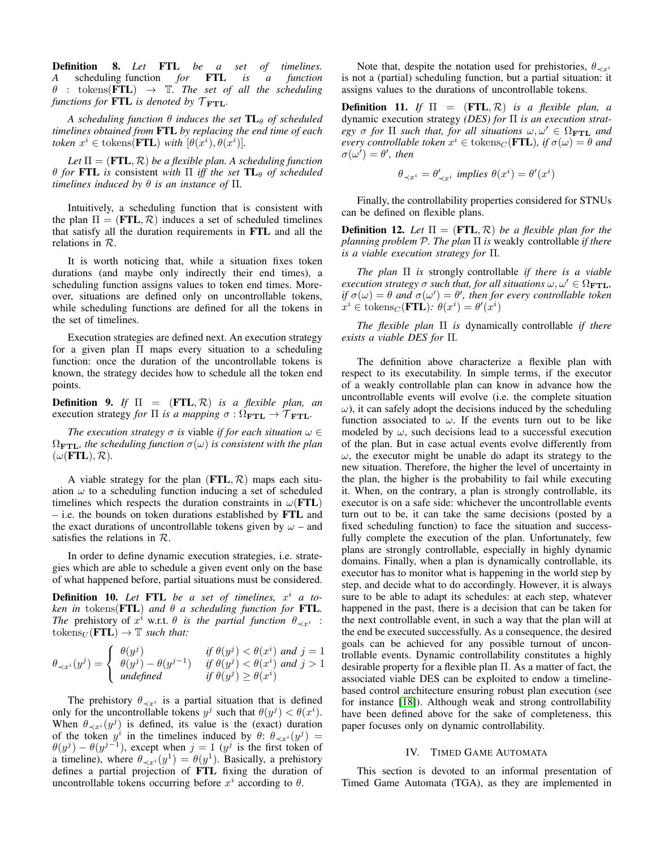Definition 8. *Let* FTL *be a set of timelines. A* scheduling function *for* FTL *is a function*  $\theta$  : tokens(**FTL**)  $\rightarrow$  T. The set of all the scheduling *functions for* FTL *is denoted by*  $\mathcal{T}_{\text{FTL}}$ *.* 

*A scheduling function*  $\theta$  *induces the set*  $TL_{\theta}$  *of scheduled timelines obtained from* FTL *by replacing the end time of each token*  $x^i \in \text{tokens}(\textbf{FTL})$  *with*  $[\theta(\hat{x}^i), \theta(\hat{x}^i)]$ .

 $Let \Pi = (\textbf{FTL}, \mathcal{R})$  *be a flexible plan. A scheduling function*  $\theta$  for FTL is consistent with  $\Pi$  iff the set  $TL_{\theta}$  of scheduled *timelines induced by* θ *is an instance of* Π*.*

Intuitively, a scheduling function that is consistent with the plan  $\Pi = (\text{FTL}, \mathcal{R})$  induces a set of scheduled timelines that satisfy all the duration requirements in FTL and all the relations in R.

It is worth noticing that, while a situation fixes token durations (and maybe only indirectly their end times), a scheduling function assigns values to token end times. Moreover, situations are defined only on uncontrollable tokens, while scheduling functions are defined for all the tokens in the set of timelines.

Execution strategies are defined next. An execution strategy for a given plan Π maps every situation to a scheduling function: once the duration of the uncontrollable tokens is known, the strategy decides how to schedule all the token end points.

**Definition 9.** *If*  $\Pi = (\textbf{FTL}, \mathcal{R})$  *is a flexible plan, an* execution strategy *for*  $\Pi$  *is a mapping*  $\sigma : \Omega_{\text{FTL}} \to \mathcal{T}_{\text{FTL}}$ .

*The execution strategy*  $\sigma$  *is viable if for each situation*  $\omega \in$  $\Omega_{\text{FTL}}$ , the scheduling function  $\sigma(\omega)$  is consistent with the plan  $(\omega(\text{FTL}), \mathcal{R})$ .

A viable strategy for the plan  $(FTL, \mathcal{R})$  maps each situation  $\omega$  to a scheduling function inducing a set of scheduled timelines which respects the duration constraints in  $\omega(\text{FTL})$ – i.e. the bounds on token durations established by FTL and the exact durations of uncontrollable tokens given by  $\omega$  – and satisfies the relations in R.

In order to define dynamic execution strategies, i.e. strategies which are able to schedule a given event only on the base of what happened before, partial situations must be considered.

**Definition 10.** Let FTL be a set of timelines,  $x^i$  a to*ken in* tokens(FTL) *and*  $\theta$  *a scheduling function for* FTL. *The* prehistory of  $x^i$  w.r.t.  $\theta$  *is the partial function*  $\theta_{\prec x^i}$  :  $\text{tokens}_{U}(\textbf{FTL}) \rightarrow \mathbb{T}$  *such that:* 

$$
\theta_{\prec x^i}(y^j) = \begin{cases} \theta(y^j) & \text{if } \theta(y^j) < \theta(x^i) \text{ and } j = 1\\ \theta(y^j) - \theta(y^{j-1}) & \text{if } \theta(y^j) < \theta(x^i) \text{ and } j > 1\\ \text{undefined} & \text{if } \theta(y^j) \ge \theta(x^i) \end{cases}
$$

The prehistory  $\theta_{\prec x^i}$  is a partial situation that is defined only for the uncontrollable tokens  $y^j$  such that  $\theta(y^j) < \theta(x^i)$ . When  $\theta_{\prec x^i}(y^j)$  is defined, its value is the (exact) duration of the token  $y^i$  in the timelines induced by  $\theta$ :  $\theta_{\prec x^i}(y^j) =$  $\theta(y^{j}) - \theta(y^{j-1})$ , except when  $j = 1$  ( $y^{j}$  is the first token of a timeline), where  $\theta_{\prec x^i}(y^1) = \theta(y^1)$ . Basically, a prehistory defines a partial projection of FTL fixing the duration of uncontrollable tokens occurring before  $x^i$  according to  $\theta$ .

Note that, despite the notation used for prehistories,  $\theta_{\prec x_i}$ is not a (partial) scheduling function, but a partial situation: it assigns values to the durations of uncontrollable tokens.

**Definition 11.** *If*  $\Pi = (\textbf{FTL}, \mathcal{R})$  *is a flexible plan, a* dynamic execution strategy *(DES) for* Π *is an execution strategy*  $\sigma$  *for*  $\Pi$  *such that, for all situations*  $\omega, \omega' \in \Omega_{\text{FTL}}$  *and every controllable token*  $x^i \in \text{tokens}_C(\textbf{FTL})$ *, if*  $\sigma(\omega) = \theta$  *and*  $\sigma(\omega') = \theta'$ , then

$$
\theta_{\prec x^i} = \theta'_{\prec x^i}
$$
 implies  $\theta(x^i) = \theta'(x^i)$ 

Finally, the controllability properties considered for STNUs can be defined on flexible plans.

**Definition 12.** Let  $\Pi = (\textbf{FTL}, \mathcal{R})$  be a flexible plan for the *planning problem* P*. The plan* Π *is* weakly controllable *if there is a viable execution strategy for* Π*.*

*The plan* Π *is* strongly controllable *if there is a viable execution strategy*  $\sigma$  *such that, for all situations*  $\omega, \omega' \in \Omega_{\text{FTL}}$ *, if*  $\sigma(\omega) = \theta$  and  $\sigma(\omega') = \theta'$ , then for every controllable token  $x^i \in \text{tokens}_C(\textbf{FTL})$ :  $\theta(x^i) = \theta'(x^i)$ 

*The flexible plan* Π *is* dynamically controllable *if there exists a viable DES for* Π*.*

The definition above characterize a flexible plan with respect to its executability. In simple terms, if the executor of a weakly controllable plan can know in advance how the uncontrollable events will evolve (i.e. the complete situation  $\omega$ ), it can safely adopt the decisions induced by the scheduling function associated to  $\omega$ . If the events turn out to be like modeled by  $\omega$ , such decisions lead to a successful execution of the plan. But in case actual events evolve differently from  $\omega$ , the executor might be unable do adapt its strategy to the new situation. Therefore, the higher the level of uncertainty in the plan, the higher is the probability to fail while executing it. When, on the contrary, a plan is strongly controllable, its executor is on a safe side: whichever the uncontrollable events turn out to be, it can take the same decisions (posted by a fixed scheduling function) to face the situation and successfully complete the execution of the plan. Unfortunately, few plans are strongly controllable, especially in highly dynamic domains. Finally, when a plan is dynamically controllable, its executor has to monitor what is happening in the world step by step, and decide what to do accordingly. However, it is always sure to be able to adapt its schedules: at each step, whatever happened in the past, there is a decision that can be taken for the next controllable event, in such a way that the plan will at the end be executed successfully. As a consequence, the desired goals can be achieved for any possible turnout of uncontrollable events. Dynamic controllability constitutes a highly desirable property for a flexible plan  $\Pi$ . As a matter of fact, the associated viable DES can be exploited to endow a timelinebased control architecture ensuring robust plan execution (see for instance [\[18\]](#page-9-17)). Although weak and strong controllability have been defined above for the sake of completeness, this paper focuses only on dynamic controllability.

#### IV. TIMED GAME AUTOMATA

<span id="page-4-0"></span>This section is devoted to an informal presentation of Timed Game Automata (TGA), as they are implemented in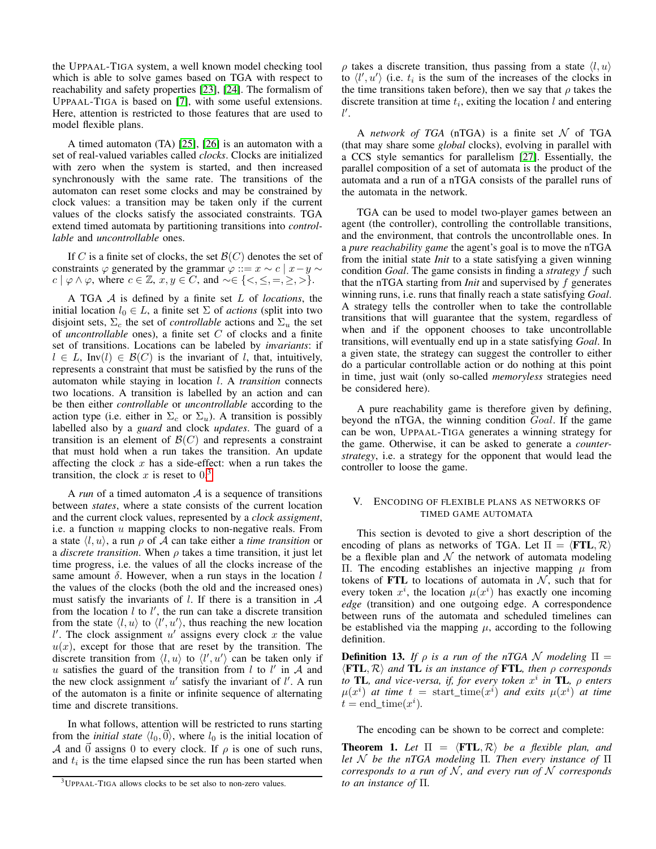the UPPAAL-TIGA system, a well known model checking tool which is able to solve games based on TGA with respect to reachability and safety properties [\[23\]](#page-9-22), [\[24\]](#page-9-23). The formalism of UPPAAL-TIGA is based on [\[7\]](#page-9-6), with some useful extensions. Here, attention is restricted to those features that are used to model flexible plans.

A timed automaton (TA) [\[25\]](#page-9-24), [\[26\]](#page-9-25) is an automaton with a set of real-valued variables called *clocks*. Clocks are initialized with zero when the system is started, and then increased synchronously with the same rate. The transitions of the automaton can reset some clocks and may be constrained by clock values: a transition may be taken only if the current values of the clocks satisfy the associated constraints. TGA extend timed automata by partitioning transitions into *controllable* and *uncontrollable* ones.

If C is a finite set of clocks, the set  $\mathcal{B}(C)$  denotes the set of constraints  $\varphi$  generated by the grammar  $\varphi ::= x \sim c \mid x - y \sim$  $c \mid \varphi \land \varphi$ , where  $c \in \mathbb{Z}$ ,  $x, y \in C$ , and ~∈ {<, ≤, =, ≥, >}.

A TGA A is defined by a finite set L of *locations*, the initial location  $l_0 \in L$ , a finite set  $\Sigma$  of *actions* (split into two disjoint sets,  $\Sigma_c$  the set of *controllable* actions and  $\Sigma_u$  the set of *uncontrollable* ones), a finite set C of clocks and a finite set of transitions. Locations can be labeled by *invariants*: if  $l \in L$ , Inv(l)  $\in \mathcal{B}(C)$  is the invariant of l, that, intuitively, represents a constraint that must be satisfied by the runs of the automaton while staying in location l. A *transition* connects two locations. A transition is labelled by an action and can be then either *controllable* or *uncontrollable* according to the action type (i.e. either in  $\Sigma_c$  or  $\Sigma_u$ ). A transition is possibly labelled also by a *guard* and clock *updates*. The guard of a transition is an element of  $\mathcal{B}(C)$  and represents a constraint that must hold when a run takes the transition. An update affecting the clock  $x$  has a side-effect: when a run takes the transition, the clock  $x$  is reset to  $0<sup>3</sup>$  $0<sup>3</sup>$  $0<sup>3</sup>$ 

A *run* of a timed automaton  $A$  is a sequence of transitions between *states*, where a state consists of the current location and the current clock values, represented by a *clock assigment*, i.e. a function  $u$  mapping clocks to non-negative reals. From a state  $\langle l, u \rangle$ , a run  $\rho$  of A can take either a *time transition* or a *discrete transition*. When  $\rho$  takes a time transition, it just let time progress, i.e. the values of all the clocks increase of the same amount  $\delta$ . However, when a run stays in the location  $l$ the values of the clocks (both the old and the increased ones) must satisfy the invariants of  $l$ . If there is a transition in  $A$ from the location  $l$  to  $l'$ , the run can take a discrete transition from the state  $\langle l, u \rangle$  to  $\langle l', u' \rangle$ , thus reaching the new location  $l'$ . The clock assignment  $u'$  assigns every clock x the value  $u(x)$ , except for those that are reset by the transition. The discrete transition from  $\langle l, u \rangle$  to  $\langle l', u' \rangle$  can be taken only if  $u$  satisfies the guard of the transition from  $l$  to  $l'$  in  $A$  and the new clock assignment  $u'$  satisfy the invariant of  $l'$ . A run of the automaton is a finite or infinite sequence of alternating time and discrete transitions.

In what follows, attention will be restricted to runs starting from the *initial state*  $\langle l_0, \vec{0} \rangle$ , where  $l_0$  is the initial location of A and  $\overline{0}$  assigns 0 to every clock. If  $\rho$  is one of such runs, and  $t_i$  is the time elapsed since the run has been started when

 $\rho$  takes a discrete transition, thus passing from a state  $\langle l, u \rangle$ to  $\langle l', u' \rangle$  (i.e.  $t_i$  is the sum of the increases of the clocks in the time transitions taken before), then we say that  $\rho$  takes the discrete transition at time  $t_i$ , exiting the location l and entering  $l'.$ 

A *network of TGA* (nTGA) is a finite set  $\mathcal N$  of TGA (that may share some *global* clocks), evolving in parallel with a CCS style semantics for parallelism [\[27\]](#page-9-26). Essentially, the parallel composition of a set of automata is the product of the automata and a run of a nTGA consists of the parallel runs of the automata in the network.

TGA can be used to model two-player games between an agent (the controller), controlling the controllable transitions, and the environment, that controls the uncontrollable ones. In a *pure reachability game* the agent's goal is to move the nTGA from the initial state *Init* to a state satisfying a given winning condition *Goal*. The game consists in finding a *strategy* f such that the nTGA starting from *Init* and supervised by f generates winning runs, i.e. runs that finally reach a state satisfying *Goal*. A strategy tells the controller when to take the controllable transitions that will guarantee that the system, regardless of when and if the opponent chooses to take uncontrollable transitions, will eventually end up in a state satisfying *Goal*. In a given state, the strategy can suggest the controller to either do a particular controllable action or do nothing at this point in time, just wait (only so-called *memoryless* strategies need be considered here).

A pure reachability game is therefore given by defining, beyond the nTGA, the winning condition Goal. If the game can be won, UPPAAL-TIGA generates a winning strategy for the game. Otherwise, it can be asked to generate a *counterstrategy*, i.e. a strategy for the opponent that would lead the controller to loose the game.

## <span id="page-5-0"></span>V. ENCODING OF FLEXIBLE PLANS AS NETWORKS OF TIMED GAME AUTOMATA

This section is devoted to give a short description of the encoding of plans as networks of TGA. Let  $\Pi = \langle FTL, \mathcal{R} \rangle$ be a flexible plan and  $\mathcal N$  the network of automata modeling Π. The encoding establishes an injective mapping  $\mu$  from tokens of FTL to locations of automata in  $N$ , such that for every token  $x^i$ , the location  $\mu(x^i)$  has exactly one incoming *edge* (transition) and one outgoing edge. A correspondence between runs of the automata and scheduled timelines can be established via the mapping  $\mu$ , according to the following definition.

**Definition 13.** *If*  $\rho$  *is a run of the nTGA* N *modeling*  $\Pi$  =  $\langle FTL, \mathcal{R} \rangle$  *and*  $TL$  *is an instance of*  $FTL$ *, then*  $\rho$  *corresponds to* TL*, and vice-versa, if, for every token* x i *in* TL*,* ρ *enters*  $\mu(x^i)$  at time  $t = \text{start\_time}(x^i)$  and exits  $\mu(x^i)$  at time  $t = end\_time(x^i).$ 

The encoding can be shown to be correct and complete:

<span id="page-5-2"></span>**Theorem 1.** Let  $\Pi = \langle \textbf{FTL}, \mathcal{R} \rangle$  be a flexible plan, and *let* N *be the nTGA modeling* Π*. Then every instance of* Π *corresponds to a run of*  $N$ *, and every run of*  $N$  *corresponds to an instance of* Π*.*

<span id="page-5-1"></span><sup>3</sup>UPPAAL-TIGA allows clocks to be set also to non-zero values.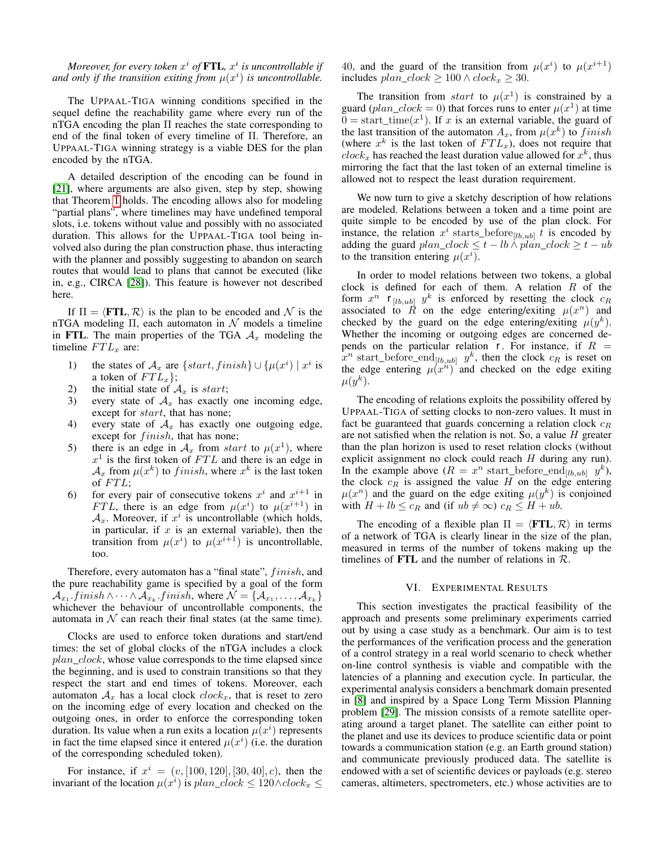*Moreover, for every token* x <sup>i</sup> *of* FTL*,* x i *is uncontrollable if* and only if the transition exiting from  $\mu(x^i)$  is uncontrollable.

The UPPAAL-TIGA winning conditions specified in the sequel define the reachability game where every run of the nTGA encoding the plan Π reaches the state corresponding to end of the final token of every timeline of Π. Therefore, an UPPAAL-TIGA winning strategy is a viable DES for the plan encoded by the nTGA.

A detailed description of the encoding can be found in [\[21\]](#page-9-20), where arguments are also given, step by step, showing that Theorem [1](#page-5-2) holds. The encoding allows also for modeling "partial plans", where timelines may have undefined temporal slots, i.e. tokens without value and possibly with no associated duration. This allows for the UPPAAL-TIGA tool being involved also during the plan construction phase, thus interacting with the planner and possibly suggesting to abandon on search routes that would lead to plans that cannot be executed (like in, e.g., CIRCA [\[28\]](#page-9-27)). This feature is however not described here.

If  $\Pi = \langle \text{FTL}, \mathcal{R} \rangle$  is the plan to be encoded and N is the nTGA modeling Π, each automaton in  $N$  models a timeline in FTL. The main properties of the TGA  $A_x$  modeling the timeline  $FTL_x$  are:

- 1) the states of  $A_x$  are {start, finish}  $\cup \{ \mu(x^i) \mid x^i \}$  is a token of  $FTL<sub>x</sub>$ ;
- 2) the initial state of  $A_x$  is start;
- 3) every state of  $A_x$  has exactly one incoming edge, except for *start*, that has none;
- 4) every state of  $A_x$  has exactly one outgoing edge, except for  $f inish$ , that has none;
- 5) there is an edge in  $A_x$  from start to  $\mu(x^1)$ , where  $x<sup>1</sup>$  is the first token of  $FTL$  and there is an edge in  $\mathcal{A}_x$  from  $\mu(x^k)$  to *finish*, where  $x^k$  is the last token of  $FTL$ ;
- 6) for every pair of consecutive tokens  $x^i$  and  $x^{i+1}$  in FTL, there is an edge from  $\mu(x^i)$  to  $\mu(x^{i+1})$  in  $A_x$ . Moreover, if  $x^i$  is uncontrollable (which holds, in particular, if  $x$  is an external variable), then the transition from  $\mu(x^i)$  to  $\mu(x^{i+1})$  is uncontrollable, too.

Therefore, every automaton has a "final state", finish, and the pure reachability game is specified by a goal of the form  $\mathcal{A}_{x_1}.finish \wedge \cdots \wedge \mathcal{A}_{x_k}.finish,$  where  $\mathcal{N} = \{\mathcal{A}_{x_1}, \ldots, \mathcal{A}_{x_k}\}$ whichever the behaviour of uncontrollable components, the automata in  $N$  can reach their final states (at the same time).

Clocks are used to enforce token durations and start/end times: the set of global clocks of the nTGA includes a clock plan\_clock, whose value corresponds to the time elapsed since the beginning, and is used to constrain transitions so that they respect the start and end times of tokens. Moreover, each automaton  $A_x$  has a local clock  $clock_x$ , that is reset to zero on the incoming edge of every location and checked on the outgoing ones, in order to enforce the corresponding token duration. Its value when a run exits a location  $\mu(x^i)$  represents in fact the time elapsed since it entered  $\mu(x^i)$  (i.e. the duration of the corresponding scheduled token).

For instance, if  $x^i = (v, [100, 120], [30, 40], c)$ , then the invariant of the location  $\mu(x^i)$  is  $plan\_clock \leq 120 \land clock_x \leq$ 

40, and the guard of the transition from  $\mu(x^i)$  to  $\mu(x^{i+1})$ includes  $plan\_clock \geq 100 \wedge clock_x \geq 30$ .

The transition from *start* to  $\mu(x^1)$  is constrained by a guard (plan\_clock = 0) that forces runs to enter  $\mu(x^1)$  at time  $0 = start\_time(x^1)$ . If x is an external variable, the guard of the last transition of the automaton  $A_x$ , from  $\mu(x^k)$  to finish (where  $x^k$  is the last token of  $FTL_x$ ), does not require that  $clock_x$  has reached the least duration value allowed for  $x^k$ , thus mirroring the fact that the last token of an external timeline is allowed not to respect the least duration requirement.

We now turn to give a sketchy description of how relations are modeled. Relations between a token and a time point are quite simple to be encoded by use of the plan clock. For instance, the relation  $x^i$  starts\_before $_{[lb,ub]}$  t is encoded by adding the guard  $plan\_clock \leq t - lb \land plan\_clock \geq t - ub$ to the transition entering  $\mu(x^i)$ .

In order to model relations between two tokens, a global clock is defined for each of them. A relation  $R$  of the form  $x^n$   $\mathsf{r}_{[lb,ub]}$   $y^k$  is enforced by resetting the clock  $c_R$ associated to R on the edge entering/exiting  $\mu(x^n)$  and checked by the guard on the edge entering/exiting  $\mu(y^k)$ . Whether the incoming or outgoing edges are concerned depends on the particular relation  $r$ . For instance, if  $R =$  $x^n$  start\_before\_end<sub>[lb,ub]</sub>  $y^k$ , then the clock  $c_R$  is reset on the edge entering  $\mu(x^n)$  and checked on the edge exiting  $\mu(y^k)$ .

The encoding of relations exploits the possibility offered by UPPAAL-TIGA of setting clocks to non-zero values. It must in fact be guaranteed that guards concerning a relation clock  $c_R$ are not satisfied when the relation is not. So, a value  $H$  greater than the plan horizon is used to reset relation clocks (without explicit assignment no clock could reach H during any run). In the example above  $(R = x^n \text{ start\_before\_end}_{[lb,ub]} y^k)$ , the clock  $c_R$  is assigned the value H on the edge entering  $\mu(x^n)$  and the guard on the edge exiting  $\mu(y^k)$  is conjoined with  $H + lb \leq c_R$  and (if  $ub \neq \infty$ )  $c_R \leq H + ub$ .

The encoding of a flexible plan  $\Pi = \langle FTL, \mathcal{R} \rangle$  in terms of a network of TGA is clearly linear in the size of the plan, measured in terms of the number of tokens making up the timelines of **FTL** and the number of relations in  $\mathcal{R}$ .

#### VI. EXPERIMENTAL RESULTS

<span id="page-6-0"></span>This section investigates the practical feasibility of the approach and presents some preliminary experiments carried out by using a case study as a benchmark. Our aim is to test the performances of the verification process and the generation of a control strategy in a real world scenario to check whether on-line control synthesis is viable and compatible with the latencies of a planning and execution cycle. In particular, the experimental analysis considers a benchmark domain presented in [\[8\]](#page-9-7) and inspired by a Space Long Term Mission Planning problem [\[29\]](#page-9-28). The mission consists of a remote satellite operating around a target planet. The satellite can either point to the planet and use its devices to produce scientific data or point towards a communication station (e.g. an Earth ground station) and communicate previously produced data. The satellite is endowed with a set of scientific devices or payloads (e.g. stereo cameras, altimeters, spectrometers, etc.) whose activities are to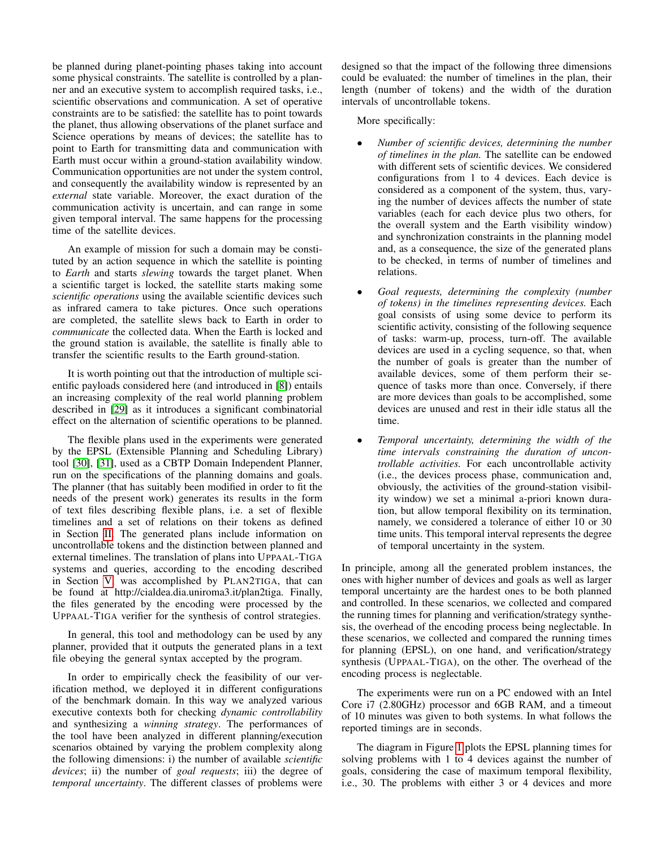be planned during planet-pointing phases taking into account some physical constraints. The satellite is controlled by a planner and an executive system to accomplish required tasks, i.e., scientific observations and communication. A set of operative constraints are to be satisfied: the satellite has to point towards the planet, thus allowing observations of the planet surface and Science operations by means of devices; the satellite has to point to Earth for transmitting data and communication with Earth must occur within a ground-station availability window. Communication opportunities are not under the system control, and consequently the availability window is represented by an *external* state variable. Moreover, the exact duration of the communication activity is uncertain, and can range in some given temporal interval. The same happens for the processing time of the satellite devices.

An example of mission for such a domain may be constituted by an action sequence in which the satellite is pointing to *Earth* and starts *slewing* towards the target planet. When a scientific target is locked, the satellite starts making some *scientific operations* using the available scientific devices such as infrared camera to take pictures. Once such operations are completed, the satellite slews back to Earth in order to *communicate* the collected data. When the Earth is locked and the ground station is available, the satellite is finally able to transfer the scientific results to the Earth ground-station.

It is worth pointing out that the introduction of multiple scientific payloads considered here (and introduced in [\[8\]](#page-9-7)) entails an increasing complexity of the real world planning problem described in [\[29\]](#page-9-28) as it introduces a significant combinatorial effect on the alternation of scientific operations to be planned.

The flexible plans used in the experiments were generated by the EPSL (Extensible Planning and Scheduling Library) tool [\[30\]](#page-9-29), [\[31\]](#page-9-30), used as a CBTP Domain Independent Planner, run on the specifications of the planning domains and goals. The planner (that has suitably been modified in order to fit the needs of the present work) generates its results in the form of text files describing flexible plans, i.e. a set of flexible timelines and a set of relations on their tokens as defined in Section [II.](#page-1-0) The generated plans include information on uncontrollable tokens and the distinction between planned and external timelines. The translation of plans into UPPAAL-TIGA systems and queries, according to the encoding described in Section [V,](#page-5-0) was accomplished by PLAN2TIGA, that can be found at http://cialdea.dia.uniroma3.it/plan2tiga. Finally, the files generated by the encoding were processed by the UPPAAL-TIGA verifier for the synthesis of control strategies.

In general, this tool and methodology can be used by any planner, provided that it outputs the generated plans in a text file obeying the general syntax accepted by the program.

In order to empirically check the feasibility of our verification method, we deployed it in different configurations of the benchmark domain. In this way we analyzed various executive contexts both for checking *dynamic controllability* and synthesizing a *winning strategy*. The performances of the tool have been analyzed in different planning/execution scenarios obtained by varying the problem complexity along the following dimensions: i) the number of available *scientific devices*; ii) the number of *goal requests*; iii) the degree of *temporal uncertainty*. The different classes of problems were designed so that the impact of the following three dimensions could be evaluated: the number of timelines in the plan, their length (number of tokens) and the width of the duration intervals of uncontrollable tokens.

More specifically:

- *Number of scientific devices, determining the number of timelines in the plan.* The satellite can be endowed with different sets of scientific devices. We considered configurations from 1 to 4 devices. Each device is considered as a component of the system, thus, varying the number of devices affects the number of state variables (each for each device plus two others, for the overall system and the Earth visibility window) and synchronization constraints in the planning model and, as a consequence, the size of the generated plans to be checked, in terms of number of timelines and relations.
- *Goal requests, determining the complexity (number of tokens) in the timelines representing devices.* Each goal consists of using some device to perform its scientific activity, consisting of the following sequence of tasks: warm-up, process, turn-off. The available devices are used in a cycling sequence, so that, when the number of goals is greater than the number of available devices, some of them perform their sequence of tasks more than once. Conversely, if there are more devices than goals to be accomplished, some devices are unused and rest in their idle status all the time.
- *Temporal uncertainty, determining the width of the time intervals constraining the duration of uncontrollable activities.* For each uncontrollable activity (i.e., the devices process phase, communication and, obviously, the activities of the ground-station visibility window) we set a minimal a-priori known duration, but allow temporal flexibility on its termination, namely, we considered a tolerance of either 10 or 30 time units. This temporal interval represents the degree of temporal uncertainty in the system.

In principle, among all the generated problem instances, the ones with higher number of devices and goals as well as larger temporal uncertainty are the hardest ones to be both planned and controlled. In these scenarios, we collected and compared the running times for planning and verification/strategy synthesis, the overhead of the encoding process being neglectable. In these scenarios, we collected and compared the running times for planning (EPSL), on one hand, and verification/strategy synthesis (UPPAAL-TIGA), on the other. The overhead of the encoding process is neglectable.

The experiments were run on a PC endowed with an Intel Core i7 (2.80GHz) processor and 6GB RAM, and a timeout of 10 minutes was given to both systems. In what follows the reported timings are in seconds.

The diagram in Figure [1](#page-8-1) plots the EPSL planning times for solving problems with 1 to 4 devices against the number of goals, considering the case of maximum temporal flexibility, i.e., 30. The problems with either 3 or 4 devices and more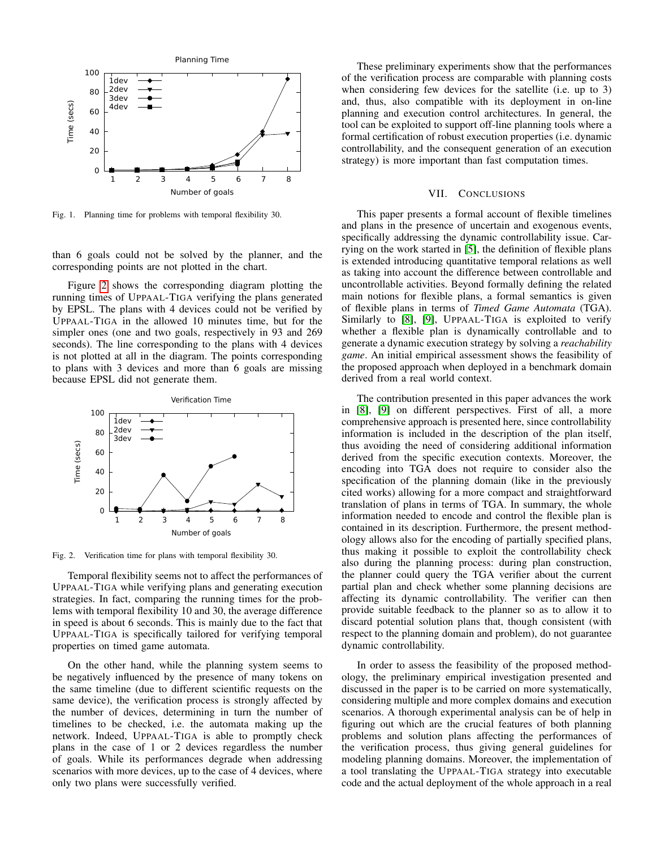

<span id="page-8-1"></span>Fig. 1. Planning time for problems with temporal flexibility 30.

than 6 goals could not be solved by the planner, and the corresponding points are not plotted in the chart.

Figure [2](#page-8-2) shows the corresponding diagram plotting the running times of UPPAAL-TIGA verifying the plans generated by EPSL. The plans with 4 devices could not be verified by UPPAAL-TIGA in the allowed 10 minutes time, but for the simpler ones (one and two goals, respectively in 93 and 269 seconds). The line corresponding to the plans with 4 devices is not plotted at all in the diagram. The points corresponding to plans with 3 devices and more than 6 goals are missing because EPSL did not generate them.



<span id="page-8-2"></span>Fig. 2. Verification time for plans with temporal flexibility 30.

Temporal flexibility seems not to affect the performances of UPPAAL-TIGA while verifying plans and generating execution strategies. In fact, comparing the running times for the problems with temporal flexibility 10 and 30, the average difference in speed is about 6 seconds. This is mainly due to the fact that UPPAAL-TIGA is specifically tailored for verifying temporal properties on timed game automata.

On the other hand, while the planning system seems to be negatively influenced by the presence of many tokens on the same timeline (due to different scientific requests on the same device), the verification process is strongly affected by the number of devices, determining in turn the number of timelines to be checked, i.e. the automata making up the network. Indeed, UPPAAL-TIGA is able to promptly check plans in the case of 1 or 2 devices regardless the number of goals. While its performances degrade when addressing scenarios with more devices, up to the case of 4 devices, where only two plans were successfully verified.

These preliminary experiments show that the performances of the verification process are comparable with planning costs when considering few devices for the satellite (i.e. up to 3) and, thus, also compatible with its deployment in on-line planning and execution control architectures. In general, the tool can be exploited to support off-line planning tools where a formal certification of robust execution properties (i.e. dynamic controllability, and the consequent generation of an execution strategy) is more important than fast computation times.

#### VII. CONCLUSIONS

<span id="page-8-0"></span>This paper presents a formal account of flexible timelines and plans in the presence of uncertain and exogenous events, specifically addressing the dynamic controllability issue. Carrying on the work started in [\[5\]](#page-9-4), the definition of flexible plans is extended introducing quantitative temporal relations as well as taking into account the difference between controllable and uncontrollable activities. Beyond formally defining the related main notions for flexible plans, a formal semantics is given of flexible plans in terms of *Timed Game Automata* (TGA). Similarly to [\[8\]](#page-9-7), [\[9\]](#page-9-8), UPPAAL-TIGA is exploited to verify whether a flexible plan is dynamically controllable and to generate a dynamic execution strategy by solving a *reachability game*. An initial empirical assessment shows the feasibility of the proposed approach when deployed in a benchmark domain derived from a real world context.

The contribution presented in this paper advances the work in [\[8\]](#page-9-7), [\[9\]](#page-9-8) on different perspectives. First of all, a more comprehensive approach is presented here, since controllability information is included in the description of the plan itself, thus avoiding the need of considering additional information derived from the specific execution contexts. Moreover, the encoding into TGA does not require to consider also the specification of the planning domain (like in the previously cited works) allowing for a more compact and straightforward translation of plans in terms of TGA. In summary, the whole information needed to encode and control the flexible plan is contained in its description. Furthermore, the present methodology allows also for the encoding of partially specified plans, thus making it possible to exploit the controllability check also during the planning process: during plan construction, the planner could query the TGA verifier about the current partial plan and check whether some planning decisions are affecting its dynamic controllability. The verifier can then provide suitable feedback to the planner so as to allow it to discard potential solution plans that, though consistent (with respect to the planning domain and problem), do not guarantee dynamic controllability.

In order to assess the feasibility of the proposed methodology, the preliminary empirical investigation presented and discussed in the paper is to be carried on more systematically, considering multiple and more complex domains and execution scenarios. A thorough experimental analysis can be of help in figuring out which are the crucial features of both planning problems and solution plans affecting the performances of the verification process, thus giving general guidelines for modeling planning domains. Moreover, the implementation of a tool translating the UPPAAL-TIGA strategy into executable code and the actual deployment of the whole approach in a real